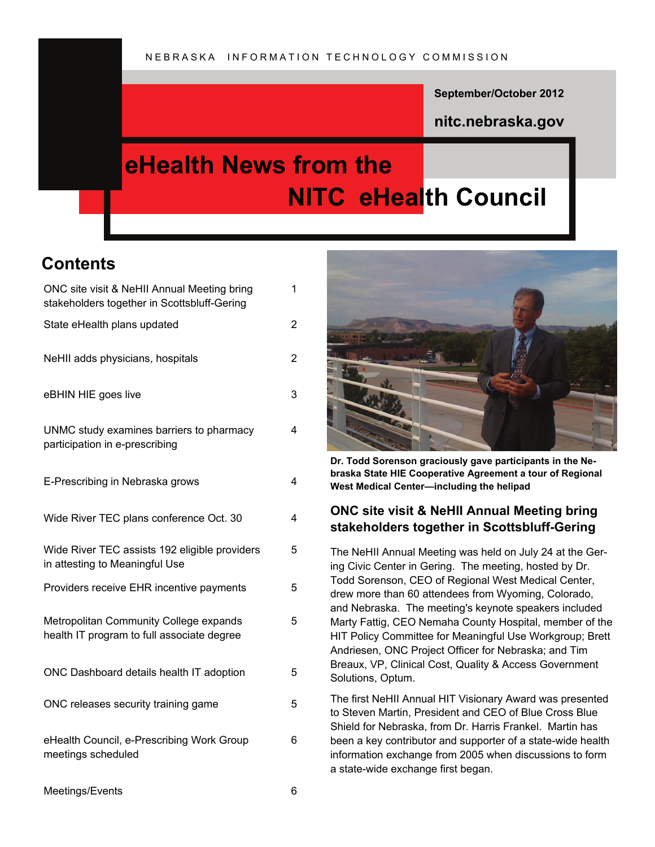**September/October 2012** 

**nitc.nebraska.gov** 

# **eHealth News from the NITC eHealth Council**

# **Contents**

| ONC site visit & NeHII Annual Meeting bring<br>stakeholders together in Scottsbluff-Gering | 1 |
|--------------------------------------------------------------------------------------------|---|
| State eHealth plans updated                                                                | 2 |
| NeHII adds physicians, hospitals                                                           | 2 |
| eBHIN HIE goes live                                                                        | 3 |
| UNMC study examines barriers to pharmacy<br>participation in e-prescribing                 | 4 |
| E-Prescribing in Nebraska grows                                                            | 4 |
| Wide River TEC plans conference Oct. 30                                                    | 4 |
| Wide River TEC assists 192 eligible providers<br>in attesting to Meaningful Use            | 5 |
| Providers receive EHR incentive payments                                                   | 5 |
| Metropolitan Community College expands<br>health IT program to full associate degree       | 5 |
| ONC Dashboard details health IT adoption                                                   | 5 |
| ONC releases security training game                                                        | 5 |
| eHealth Council, e-Prescribing Work Group<br>meetings scheduled                            | 6 |



**Dr. Todd Sorenson graciously gave participants in the Nebraska State HIE Cooperative Agreement a tour of Regional West Medical Center—including the helipad**

# **ONC site visit & NeHII Annual Meeting bring stakeholders together in Scottsbluff-Gering**

The NeHII Annual Meeting was held on July 24 at the Gering Civic Center in Gering. The meeting, hosted by Dr. Todd Sorenson, CEO of Regional West Medical Center, drew more than 60 attendees from Wyoming, Colorado, and Nebraska. The meeting's keynote speakers included Marty Fattig, CEO Nemaha County Hospital, member of the HIT Policy Committee for Meaningful Use Workgroup; Brett Andriesen, ONC Project Officer for Nebraska; and Tim Breaux, VP, Clinical Cost, Quality & Access Government Solutions, Optum.

The first NeHII Annual HIT Visionary Award was presented to Steven Martin, President and CEO of Blue Cross Blue Shield for Nebraska, from Dr. Harris Frankel. Martin has been a key contributor and supporter of a state-wide health information exchange from 2005 when discussions to form a state-wide exchange first began.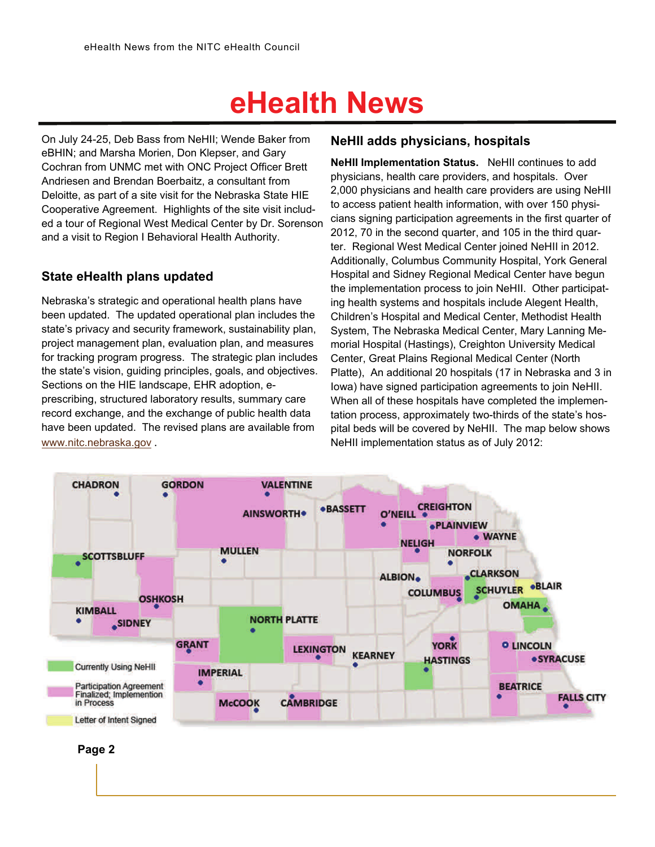On July 24-25, Deb Bass from NeHII; Wende Baker from eBHIN; and Marsha Morien, Don Klepser, and Gary Cochran from UNMC met with ONC Project Officer Brett Andriesen and Brendan Boerbaitz, a consultant from Deloitte, as part of a site visit for the Nebraska State HIE Cooperative Agreement. Highlights of the site visit included a tour of Regional West Medical Center by Dr. Sorenson and a visit to Region I Behavioral Health Authority.

### **State eHealth plans updated**

Nebraska's strategic and operational health plans have been updated. The updated operational plan includes the state's privacy and security framework, sustainability plan, project management plan, evaluation plan, and measures for tracking program progress. The strategic plan includes the state's vision, guiding principles, goals, and objectives. Sections on the HIE landscape, EHR adoption, eprescribing, structured laboratory results, summary care record exchange, and the exchange of public health data have been updated. The revised plans are available from [www.nitc.nebraska.gov](http://www.nitc.nebraska.gov) .

# **NeHII adds physicians, hospitals**

**NeHII Implementation Status.** NeHII continues to add physicians, health care providers, and hospitals. Over 2,000 physicians and health care providers are using NeHII to access patient health information, with over 150 physicians signing participation agreements in the first quarter of 2012, 70 in the second quarter, and 105 in the third quarter. Regional West Medical Center joined NeHII in 2012. Additionally, Columbus Community Hospital, York General Hospital and Sidney Regional Medical Center have begun the implementation process to join NeHII. Other participating health systems and hospitals include Alegent Health, Children's Hospital and Medical Center, Methodist Health System, The Nebraska Medical Center, Mary Lanning Memorial Hospital (Hastings), Creighton University Medical Center, Great Plains Regional Medical Center (North Platte), An additional 20 hospitals (17 in Nebraska and 3 in Iowa) have signed participation agreements to join NeHII. When all of these hospitals have completed the implementation process, approximately two-thirds of the state's hospital beds will be covered by NeHII. The map below shows NeHII implementation status as of July 2012:



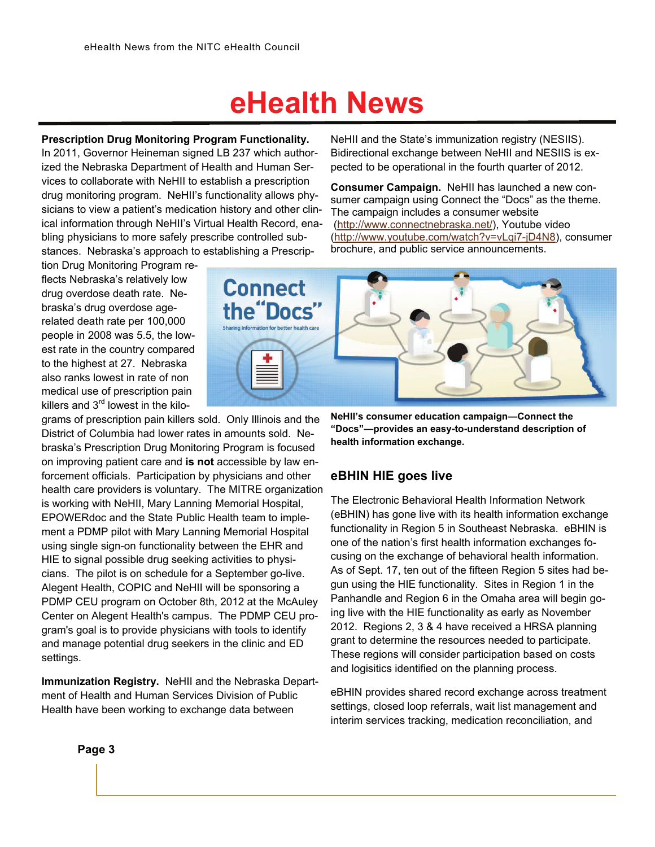**Prescription Drug Monitoring Program Functionality.**

In 2011, Governor Heineman signed LB 237 which authorized the Nebraska Department of Health and Human Services to collaborate with NeHII to establish a prescription drug monitoring program. NeHII's functionality allows physicians to view a patient's medication history and other clinical information through NeHII's Virtual Health Record, enabling physicians to more safely prescribe controlled substances. Nebraska's approach to establishing a Prescrip-

tion Drug Monitoring Program reflects Nebraska's relatively low drug overdose death rate. Nebraska's drug overdose agerelated death rate per 100,000 people in 2008 was 5.5, the lowest rate in the country compared to the highest at 27. Nebraska also ranks lowest in rate of non medical use of prescription pain killers and  $3<sup>rd</sup>$  lowest in the kilo-

grams of prescription pain killers sold. Only Illinois and the District of Columbia had lower rates in amounts sold. Nebraska's Prescription Drug Monitoring Program is focused on improving patient care and **is not** accessible by law enforcement officials. Participation by physicians and other health care providers is voluntary. The MITRE organization is working with NeHII, Mary Lanning Memorial Hospital, EPOWERdoc and the State Public Health team to implement a PDMP pilot with Mary Lanning Memorial Hospital using single sign-on functionality between the EHR and HIE to signal possible drug seeking activities to physicians. The pilot is on schedule for a September go-live. Alegent Health, COPIC and NeHII will be sponsoring a PDMP CEU program on October 8th, 2012 at the McAuley Center on Alegent Health's campus. The PDMP CEU program's goal is to provide physicians with tools to identify and manage potential drug seekers in the clinic and ED settings.

**Immunization Registry.** NeHII and the Nebraska Department of Health and Human Services Division of Public Health have been working to exchange data between

NeHII and the State's immunization registry (NESIIS). Bidirectional exchange between NeHII and NESIIS is expected to be operational in the fourth quarter of 2012.

**Consumer Campaign.** NeHII has launched a new consumer campaign using Connect the "Docs" as the theme. The campaign includes a consumer website [\(http://www.connectnebraska.net/](http://www.connectnebraska.net/)), Youtube video [\(http://www.youtube.com/watch?v=vLqi7-jD4N8](http://www.youtube.com/watch?v=vLqi7-jD4N8)), consumer brochure, and public service announcements.



**NeHII's consumer education campaign—Connect the "Docs"—provides an easy-to-understand description of health information exchange.** 

#### **eBHIN HIE goes live**

The Electronic Behavioral Health Information Network (eBHIN) has gone live with its health information exchange functionality in Region 5 in Southeast Nebraska. eBHIN is one of the nation's first health information exchanges focusing on the exchange of behavioral health information. As of Sept. 17, ten out of the fifteen Region 5 sites had begun using the HIE functionality. Sites in Region 1 in the Panhandle and Region 6 in the Omaha area will begin going live with the HIE functionality as early as November 2012. Regions 2, 3 & 4 have received a HRSA planning grant to determine the resources needed to participate. These regions will consider participation based on costs and logisitics identified on the planning process.

eBHIN provides shared record exchange across treatment settings, closed loop referrals, wait list management and interim services tracking, medication reconciliation, and

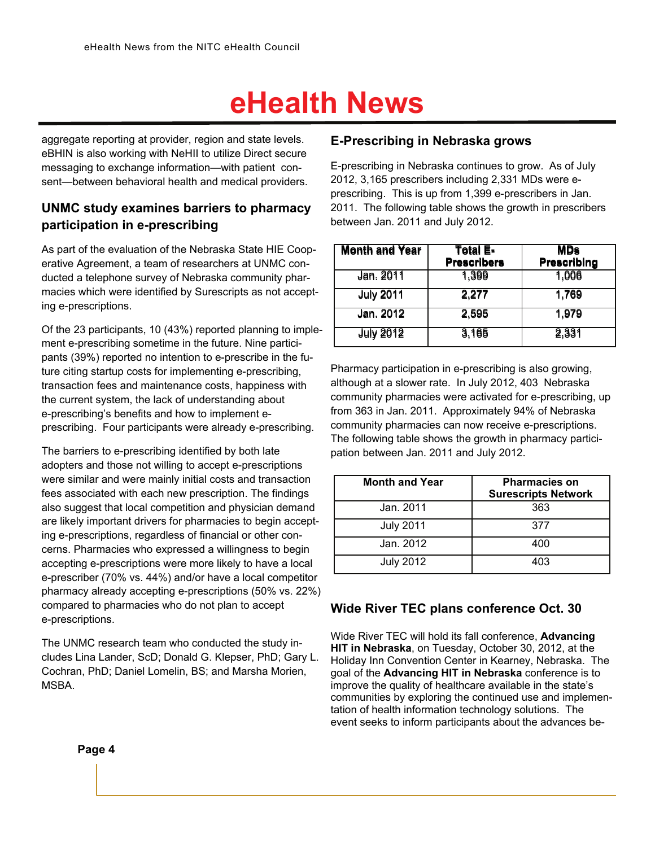aggregate reporting at provider, region and state levels. eBHIN is also working with NeHII to utilize Direct secure messaging to exchange information—with patient consent—between behavioral health and medical providers.

### **UNMC study examines barriers to pharmacy participation in e-prescribing**

As part of the evaluation of the Nebraska State HIE Cooperative Agreement, a team of researchers at UNMC conducted a telephone survey of Nebraska community pharmacies which were identified by Surescripts as not accepting e-prescriptions.

Of the 23 participants, 10 (43%) reported planning to implement e-prescribing sometime in the future. Nine participants (39%) reported no intention to e-prescribe in the future citing startup costs for implementing e-prescribing, transaction fees and maintenance costs, happiness with the current system, the lack of understanding about e-prescribing's benefits and how to implement eprescribing. Four participants were already e-prescribing.

The barriers to e-prescribing identified by both late adopters and those not willing to accept e-prescriptions were similar and were mainly initial costs and transaction fees associated with each new prescription. The findings also suggest that local competition and physician demand are likely important drivers for pharmacies to begin accepting e-prescriptions, regardless of financial or other concerns. Pharmacies who expressed a willingness to begin accepting e-prescriptions were more likely to have a local e-prescriber (70% vs. 44%) and/or have a local competitor pharmacy already accepting e-prescriptions (50% vs. 22%) compared to pharmacies who do not plan to accept e-prescriptions.

The UNMC research team who conducted the study includes Lina Lander, ScD; Donald G. Klepser, PhD; Gary L. Cochran, PhD; Daniel Lomelin, BS; and Marsha Morien, MSBA.

### **E-Prescribing in Nebraska grows**

E-prescribing in Nebraska continues to grow. As of July 2012, 3,165 prescribers including 2,331 MDs were eprescribing. This is up from 1,399 e-prescribers in Jan. 2011. The following table shows the growth in prescribers between Jan. 2011 and July 2012.

| <b>Month and Year</b> | Total E-<br><b>Prescribers</b> | <b>MDs</b><br><b>Prescribing</b> |
|-----------------------|--------------------------------|----------------------------------|
| Jan. 2011             | 1,399                          | 1,006                            |
| <b>July 2011</b>      | 2,277                          | 1,769                            |
| Jan. 2012             | 2,595                          | 1,979                            |
| <b>July 2012</b>      | 3,165                          | 2,331                            |

Pharmacy participation in e-prescribing is also growing, although at a slower rate. In July 2012, 403 Nebraska community pharmacies were activated for e-prescribing, up from 363 in Jan. 2011. Approximately 94% of Nebraska community pharmacies can now receive e-prescriptions. The following table shows the growth in pharmacy participation between Jan. 2011 and July 2012.

| <b>Month and Year</b> | <b>Pharmacies on</b><br><b>Surescripts Network</b> |
|-----------------------|----------------------------------------------------|
| Jan. 2011             | 363                                                |
| <b>July 2011</b>      | 377                                                |
| Jan. 2012             | 400                                                |
| <b>July 2012</b>      | 403                                                |

#### **Wide River TEC plans conference Oct. 30**

Wide River TEC will hold its fall conference, **Advancing HIT in Nebraska**, on Tuesday, October 30, 2012, at the Holiday Inn Convention Center in Kearney, Nebraska. The goal of the **Advancing HIT in Nebraska** conference is to improve the quality of healthcare available in the state's communities by exploring the continued use and implementation of health information technology solutions. The event seeks to inform participants about the advances be-

**Page 4**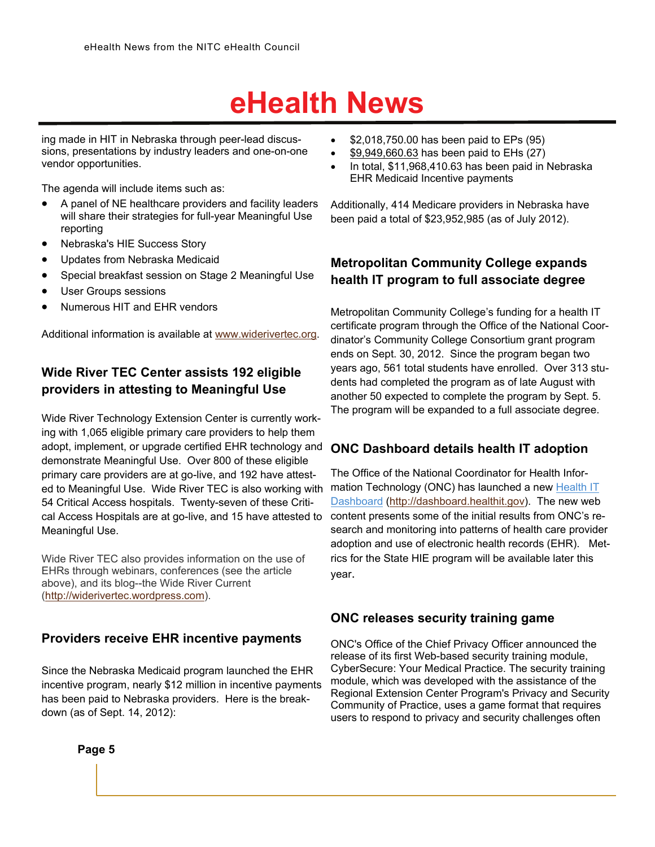ing made in HIT in Nebraska through peer-lead discussions, presentations by industry leaders and one-on-one vendor opportunities.

The agenda will include items such as:

- A panel of NE healthcare providers and facility leaders will share their strategies for full-year Meaningful Use reporting
- Nebraska's HIE Success Story
- Updates from Nebraska Medicaid
- Special breakfast session on Stage 2 Meaningful Use
- User Groups sessions
- Numerous HIT and EHR vendors

Additional information is available at [www.widerivertec.org.](http://www.widerivertec.org)

# **Wide River TEC Center assists 192 eligible providers in attesting to Meaningful Use**

Wide River Technology Extension Center is currently working with 1,065 eligible primary care providers to help them adopt, implement, or upgrade certified EHR technology and demonstrate Meaningful Use. Over 800 of these eligible primary care providers are at go-live, and 192 have attested to Meaningful Use. Wide River TEC is also working with 54 Critical Access hospitals. Twenty-seven of these Critical Access Hospitals are at go-live, and 15 have attested to Meaningful Use.

Wide River TEC also provides information on the use of EHRs through webinars, conferences (see the article above), and its blog--the Wide River Current [\(http://widerivertec.wordpress.com](http://widerivertec.wordpress.com)).

#### **Providers receive EHR incentive payments**

Since the Nebraska Medicaid program launched the EHR incentive program, nearly \$12 million in incentive payments has been paid to Nebraska providers. Here is the breakdown (as of Sept. 14, 2012):

- $\bullet$  \$2,018,750.00 has been paid to EPs (95)
- $\frac{$9,949,660.63}{2}$  has been paid to EHs (27)
- In total, \$11,968,410.63 has been paid in Nebraska EHR Medicaid Incentive payments

Additionally, 414 Medicare providers in Nebraska have been paid a total of \$23,952,985 (as of July 2012).

### **Metropolitan Community College expands health IT program to full associate degree**

Metropolitan Community College's funding for a health IT certificate program through the Office of the National Coordinator's Community College Consortium grant program ends on Sept. 30, 2012. Since the program began two years ago, 561 total students have enrolled. Over 313 students had completed the program as of late August with another 50 expected to complete the program by Sept. 5. The program will be expanded to a full associate degree.

### **ONC Dashboard details health IT adoption**

The Office of the National Coordinator for Health Information Technology (ONC) has launched a new Health IT [Dashboard](http://click.icptrack.com/icp/relay.php?r=1055108151&msgid=6104999&act=8UOP&c=47185&destination=http%3A%2F%2Fdashboard.healthit.gov) [\(http://dashboard.healthit.gov](http://dashboard.healthit.gov/)). The new web content presents some of the initial results from ONC's research and monitoring into patterns of health care provider adoption and use of electronic health records (EHR). Metrics for the State HIE program will be available later this year.

#### **ONC releases security training game**

ONC's Office of the Chief Privacy Officer announced the release of its first Web-based security training module, CyberSecure: Your Medical Practice. The security training module, which was developed with the assistance of the Regional Extension Center Program's Privacy and Security Community of Practice, uses a game format that requires users to respond to privacy and security challenges often

**Page 5**